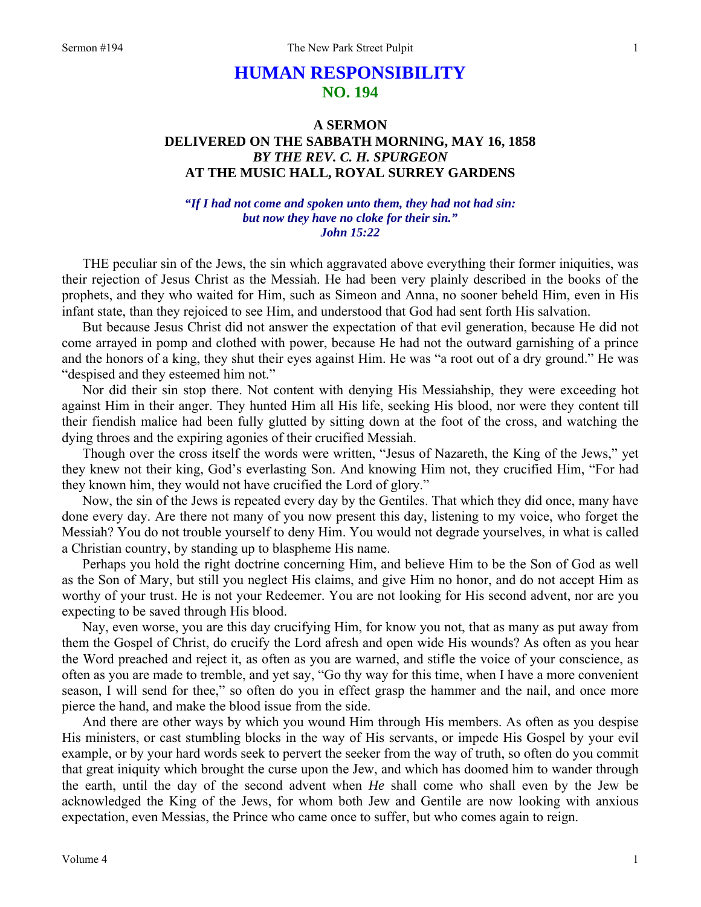## **HUMAN RESPONSIBILITY NO. 194**

## **A SERMON DELIVERED ON THE SABBATH MORNING, MAY 16, 1858**  *BY THE REV. C. H. SPURGEON*  **AT THE MUSIC HALL, ROYAL SURREY GARDENS**

## *"If I had not come and spoken unto them, they had not had sin: but now they have no cloke for their sin." John 15:22*

THE peculiar sin of the Jews, the sin which aggravated above everything their former iniquities, was their rejection of Jesus Christ as the Messiah. He had been very plainly described in the books of the prophets, and they who waited for Him, such as Simeon and Anna, no sooner beheld Him, even in His infant state, than they rejoiced to see Him, and understood that God had sent forth His salvation.

But because Jesus Christ did not answer the expectation of that evil generation, because He did not come arrayed in pomp and clothed with power, because He had not the outward garnishing of a prince and the honors of a king, they shut their eyes against Him. He was "a root out of a dry ground." He was "despised and they esteemed him not."

Nor did their sin stop there. Not content with denying His Messiahship, they were exceeding hot against Him in their anger. They hunted Him all His life, seeking His blood, nor were they content till their fiendish malice had been fully glutted by sitting down at the foot of the cross, and watching the dying throes and the expiring agonies of their crucified Messiah.

Though over the cross itself the words were written, "Jesus of Nazareth, the King of the Jews," yet they knew not their king, God's everlasting Son. And knowing Him not, they crucified Him, "For had they known him, they would not have crucified the Lord of glory."

Now, the sin of the Jews is repeated every day by the Gentiles. That which they did once, many have done every day. Are there not many of you now present this day, listening to my voice, who forget the Messiah? You do not trouble yourself to deny Him. You would not degrade yourselves, in what is called a Christian country, by standing up to blaspheme His name.

Perhaps you hold the right doctrine concerning Him, and believe Him to be the Son of God as well as the Son of Mary, but still you neglect His claims, and give Him no honor, and do not accept Him as worthy of your trust. He is not your Redeemer. You are not looking for His second advent, nor are you expecting to be saved through His blood.

Nay, even worse, you are this day crucifying Him, for know you not, that as many as put away from them the Gospel of Christ, do crucify the Lord afresh and open wide His wounds? As often as you hear the Word preached and reject it, as often as you are warned, and stifle the voice of your conscience, as often as you are made to tremble, and yet say, "Go thy way for this time, when I have a more convenient season, I will send for thee," so often do you in effect grasp the hammer and the nail, and once more pierce the hand, and make the blood issue from the side.

And there are other ways by which you wound Him through His members. As often as you despise His ministers, or cast stumbling blocks in the way of His servants, or impede His Gospel by your evil example, or by your hard words seek to pervert the seeker from the way of truth, so often do you commit that great iniquity which brought the curse upon the Jew, and which has doomed him to wander through the earth, until the day of the second advent when *He* shall come who shall even by the Jew be acknowledged the King of the Jews, for whom both Jew and Gentile are now looking with anxious expectation, even Messias, the Prince who came once to suffer, but who comes again to reign.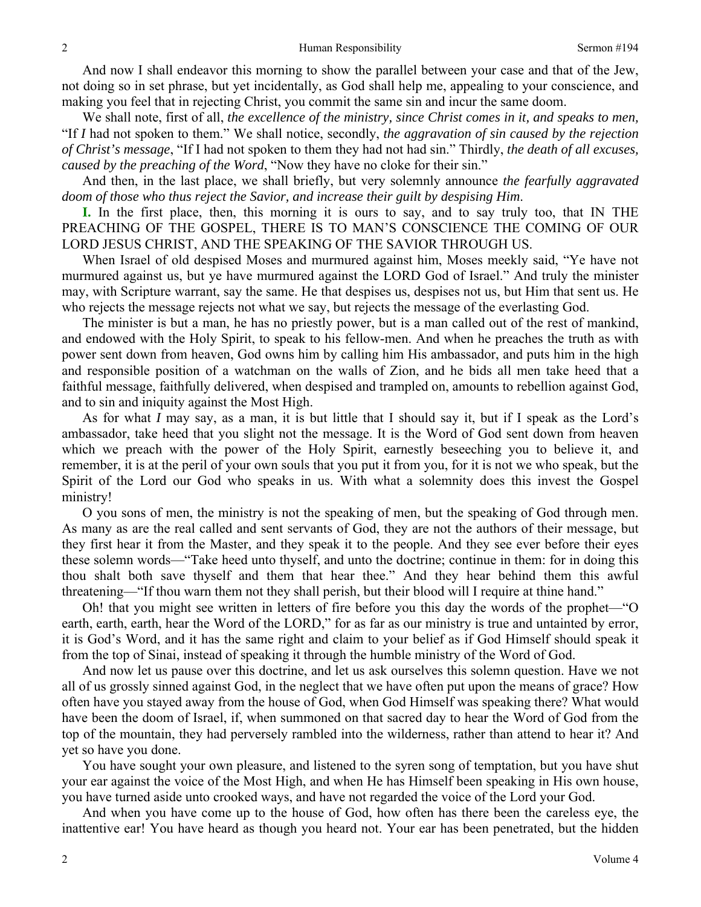And now I shall endeavor this morning to show the parallel between your case and that of the Jew, not doing so in set phrase, but yet incidentally, as God shall help me, appealing to your conscience, and making you feel that in rejecting Christ, you commit the same sin and incur the same doom.

We shall note, first of all, *the excellence of the ministry, since Christ comes in it, and speaks to men,*  "If *I* had not spoken to them." We shall notice, secondly, *the aggravation of sin caused by the rejection of Christ's message*, "If I had not spoken to them they had not had sin." Thirdly, *the death of all excuses, caused by the preaching of the Word*, "Now they have no cloke for their sin."

And then, in the last place, we shall briefly, but very solemnly announce *the fearfully aggravated doom of those who thus reject the Savior, and increase their guilt by despising Him*.

**I.** In the first place, then, this morning it is ours to say, and to say truly too, that IN THE PREACHING OF THE GOSPEL, THERE IS TO MAN'S CONSCIENCE THE COMING OF OUR LORD JESUS CHRIST, AND THE SPEAKING OF THE SAVIOR THROUGH US.

When Israel of old despised Moses and murmured against him, Moses meekly said, "Ye have not murmured against us, but ye have murmured against the LORD God of Israel." And truly the minister may, with Scripture warrant, say the same. He that despises us, despises not us, but Him that sent us. He who rejects the message rejects not what we say, but rejects the message of the everlasting God.

The minister is but a man, he has no priestly power, but is a man called out of the rest of mankind, and endowed with the Holy Spirit, to speak to his fellow-men. And when he preaches the truth as with power sent down from heaven, God owns him by calling him His ambassador, and puts him in the high and responsible position of a watchman on the walls of Zion, and he bids all men take heed that a faithful message, faithfully delivered, when despised and trampled on, amounts to rebellion against God, and to sin and iniquity against the Most High.

As for what *I* may say, as a man, it is but little that I should say it, but if I speak as the Lord's ambassador, take heed that you slight not the message. It is the Word of God sent down from heaven which we preach with the power of the Holy Spirit, earnestly beseeching you to believe it, and remember, it is at the peril of your own souls that you put it from you, for it is not we who speak, but the Spirit of the Lord our God who speaks in us. With what a solemnity does this invest the Gospel ministry!

O you sons of men, the ministry is not the speaking of men, but the speaking of God through men. As many as are the real called and sent servants of God, they are not the authors of their message, but they first hear it from the Master, and they speak it to the people. And they see ever before their eyes these solemn words—"Take heed unto thyself, and unto the doctrine; continue in them: for in doing this thou shalt both save thyself and them that hear thee." And they hear behind them this awful threatening—"If thou warn them not they shall perish, but their blood will I require at thine hand."

Oh! that you might see written in letters of fire before you this day the words of the prophet—"O earth, earth, earth, hear the Word of the LORD," for as far as our ministry is true and untainted by error, it is God's Word, and it has the same right and claim to your belief as if God Himself should speak it from the top of Sinai, instead of speaking it through the humble ministry of the Word of God.

And now let us pause over this doctrine, and let us ask ourselves this solemn question. Have we not all of us grossly sinned against God, in the neglect that we have often put upon the means of grace? How often have you stayed away from the house of God, when God Himself was speaking there? What would have been the doom of Israel, if, when summoned on that sacred day to hear the Word of God from the top of the mountain, they had perversely rambled into the wilderness, rather than attend to hear it? And yet so have you done.

You have sought your own pleasure, and listened to the syren song of temptation, but you have shut your ear against the voice of the Most High, and when He has Himself been speaking in His own house, you have turned aside unto crooked ways, and have not regarded the voice of the Lord your God.

And when you have come up to the house of God, how often has there been the careless eye, the inattentive ear! You have heard as though you heard not. Your ear has been penetrated, but the hidden

2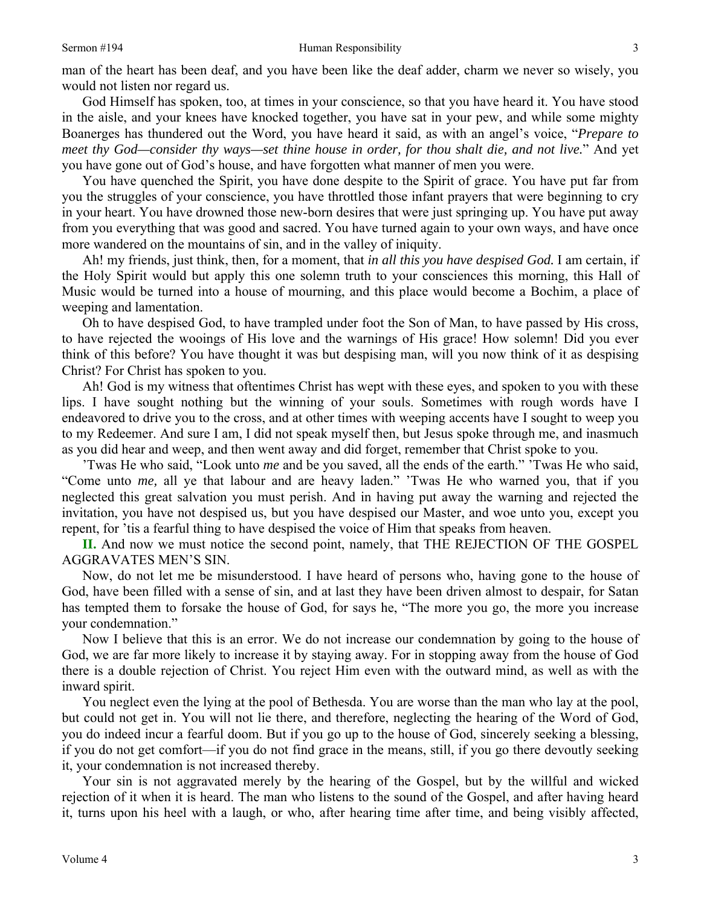God Himself has spoken, too, at times in your conscience, so that you have heard it. You have stood in the aisle, and your knees have knocked together, you have sat in your pew, and while some mighty Boanerges has thundered out the Word, you have heard it said, as with an angel's voice, "*Prepare to meet thy God—consider thy ways—set thine house in order, for thou shalt die, and not live.*" And yet you have gone out of God's house, and have forgotten what manner of men you were.

You have quenched the Spirit, you have done despite to the Spirit of grace. You have put far from you the struggles of your conscience, you have throttled those infant prayers that were beginning to cry in your heart. You have drowned those new-born desires that were just springing up. You have put away from you everything that was good and sacred. You have turned again to your own ways, and have once more wandered on the mountains of sin, and in the valley of iniquity.

Ah! my friends, just think, then, for a moment, that *in all this you have despised God.* I am certain, if the Holy Spirit would but apply this one solemn truth to your consciences this morning, this Hall of Music would be turned into a house of mourning, and this place would become a Bochim, a place of weeping and lamentation.

Oh to have despised God, to have trampled under foot the Son of Man, to have passed by His cross, to have rejected the wooings of His love and the warnings of His grace! How solemn! Did you ever think of this before? You have thought it was but despising man, will you now think of it as despising Christ? For Christ has spoken to you.

Ah! God is my witness that oftentimes Christ has wept with these eyes, and spoken to you with these lips. I have sought nothing but the winning of your souls. Sometimes with rough words have I endeavored to drive you to the cross, and at other times with weeping accents have I sought to weep you to my Redeemer. And sure I am, I did not speak myself then, but Jesus spoke through me, and inasmuch as you did hear and weep, and then went away and did forget, remember that Christ spoke to you.

'Twas He who said, "Look unto *me* and be you saved, all the ends of the earth." 'Twas He who said, "Come unto *me,* all ye that labour and are heavy laden." 'Twas He who warned you, that if you neglected this great salvation you must perish. And in having put away the warning and rejected the invitation, you have not despised us, but you have despised our Master, and woe unto you, except you repent, for 'tis a fearful thing to have despised the voice of Him that speaks from heaven.

**II.** And now we must notice the second point, namely, that THE REJECTION OF THE GOSPEL AGGRAVATES MEN'S SIN.

Now, do not let me be misunderstood. I have heard of persons who, having gone to the house of God, have been filled with a sense of sin, and at last they have been driven almost to despair, for Satan has tempted them to forsake the house of God, for says he, "The more you go, the more you increase your condemnation."

Now I believe that this is an error. We do not increase our condemnation by going to the house of God, we are far more likely to increase it by staying away. For in stopping away from the house of God there is a double rejection of Christ. You reject Him even with the outward mind, as well as with the inward spirit.

You neglect even the lying at the pool of Bethesda. You are worse than the man who lay at the pool, but could not get in. You will not lie there, and therefore, neglecting the hearing of the Word of God, you do indeed incur a fearful doom. But if you go up to the house of God, sincerely seeking a blessing, if you do not get comfort—if you do not find grace in the means, still, if you go there devoutly seeking it, your condemnation is not increased thereby.

Your sin is not aggravated merely by the hearing of the Gospel, but by the willful and wicked rejection of it when it is heard. The man who listens to the sound of the Gospel, and after having heard it, turns upon his heel with a laugh, or who, after hearing time after time, and being visibly affected,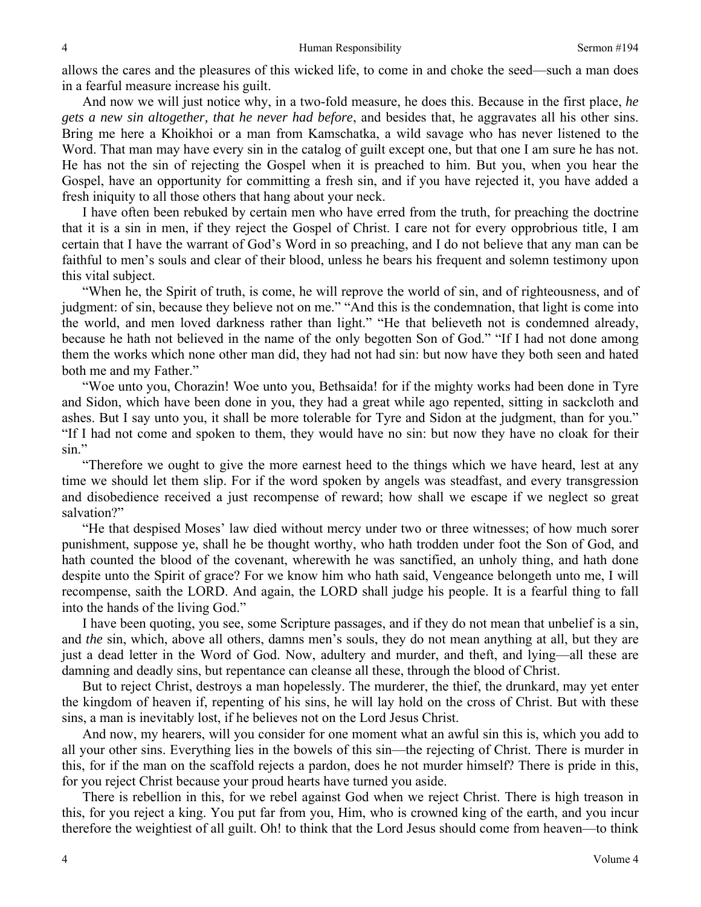allows the cares and the pleasures of this wicked life, to come in and choke the seed—such a man does in a fearful measure increase his guilt.

And now we will just notice why, in a two-fold measure, he does this. Because in the first place, *he gets a new sin altogether, that he never had before*, and besides that, he aggravates all his other sins. Bring me here a Khoikhoi or a man from Kamschatka, a wild savage who has never listened to the Word. That man may have every sin in the catalog of guilt except one, but that one I am sure he has not. He has not the sin of rejecting the Gospel when it is preached to him. But you, when you hear the Gospel, have an opportunity for committing a fresh sin, and if you have rejected it, you have added a fresh iniquity to all those others that hang about your neck.

I have often been rebuked by certain men who have erred from the truth, for preaching the doctrine that it is a sin in men, if they reject the Gospel of Christ. I care not for every opprobrious title, I am certain that I have the warrant of God's Word in so preaching, and I do not believe that any man can be faithful to men's souls and clear of their blood, unless he bears his frequent and solemn testimony upon this vital subject.

"When he, the Spirit of truth, is come, he will reprove the world of sin, and of righteousness, and of judgment: of sin, because they believe not on me." "And this is the condemnation, that light is come into the world, and men loved darkness rather than light." "He that believeth not is condemned already, because he hath not believed in the name of the only begotten Son of God." "If I had not done among them the works which none other man did, they had not had sin: but now have they both seen and hated both me and my Father."

"Woe unto you, Chorazin! Woe unto you, Bethsaida! for if the mighty works had been done in Tyre and Sidon, which have been done in you, they had a great while ago repented, sitting in sackcloth and ashes. But I say unto you, it shall be more tolerable for Tyre and Sidon at the judgment, than for you." "If I had not come and spoken to them, they would have no sin: but now they have no cloak for their sin."

"Therefore we ought to give the more earnest heed to the things which we have heard, lest at any time we should let them slip. For if the word spoken by angels was steadfast, and every transgression and disobedience received a just recompense of reward; how shall we escape if we neglect so great salvation?"

"He that despised Moses' law died without mercy under two or three witnesses; of how much sorer punishment, suppose ye, shall he be thought worthy, who hath trodden under foot the Son of God, and hath counted the blood of the covenant, wherewith he was sanctified, an unholy thing, and hath done despite unto the Spirit of grace? For we know him who hath said, Vengeance belongeth unto me, I will recompense, saith the LORD. And again, the LORD shall judge his people. It is a fearful thing to fall into the hands of the living God."

I have been quoting, you see, some Scripture passages, and if they do not mean that unbelief is a sin, and *the* sin, which, above all others, damns men's souls, they do not mean anything at all, but they are just a dead letter in the Word of God. Now, adultery and murder, and theft, and lying—all these are damning and deadly sins, but repentance can cleanse all these, through the blood of Christ.

But to reject Christ, destroys a man hopelessly. The murderer, the thief, the drunkard, may yet enter the kingdom of heaven if, repenting of his sins, he will lay hold on the cross of Christ. But with these sins, a man is inevitably lost, if he believes not on the Lord Jesus Christ.

And now, my hearers, will you consider for one moment what an awful sin this is, which you add to all your other sins. Everything lies in the bowels of this sin—the rejecting of Christ. There is murder in this, for if the man on the scaffold rejects a pardon, does he not murder himself? There is pride in this, for you reject Christ because your proud hearts have turned you aside.

There is rebellion in this, for we rebel against God when we reject Christ. There is high treason in this, for you reject a king. You put far from you, Him, who is crowned king of the earth, and you incur therefore the weightiest of all guilt. Oh! to think that the Lord Jesus should come from heaven—to think

4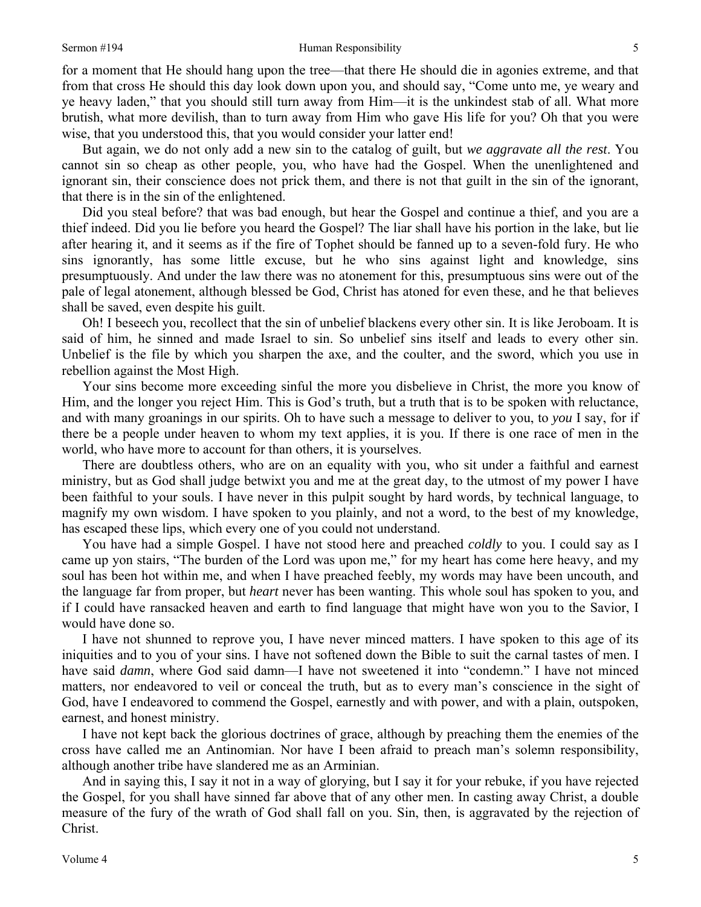## Sermon #194 Human Responsibility

for a moment that He should hang upon the tree—that there He should die in agonies extreme, and that from that cross He should this day look down upon you, and should say, "Come unto me, ye weary and ye heavy laden," that you should still turn away from Him—it is the unkindest stab of all. What more brutish, what more devilish, than to turn away from Him who gave His life for you? Oh that you were wise, that you understood this, that you would consider your latter end!

But again, we do not only add a new sin to the catalog of guilt, but *we aggravate all the rest*. You cannot sin so cheap as other people, you, who have had the Gospel. When the unenlightened and ignorant sin, their conscience does not prick them, and there is not that guilt in the sin of the ignorant, that there is in the sin of the enlightened.

Did you steal before? that was bad enough, but hear the Gospel and continue a thief, and you are a thief indeed. Did you lie before you heard the Gospel? The liar shall have his portion in the lake, but lie after hearing it, and it seems as if the fire of Tophet should be fanned up to a seven-fold fury. He who sins ignorantly, has some little excuse, but he who sins against light and knowledge, sins presumptuously. And under the law there was no atonement for this, presumptuous sins were out of the pale of legal atonement, although blessed be God, Christ has atoned for even these, and he that believes shall be saved, even despite his guilt.

Oh! I beseech you, recollect that the sin of unbelief blackens every other sin. It is like Jeroboam. It is said of him, he sinned and made Israel to sin. So unbelief sins itself and leads to every other sin. Unbelief is the file by which you sharpen the axe, and the coulter, and the sword, which you use in rebellion against the Most High.

Your sins become more exceeding sinful the more you disbelieve in Christ, the more you know of Him, and the longer you reject Him. This is God's truth, but a truth that is to be spoken with reluctance, and with many groanings in our spirits. Oh to have such a message to deliver to you, to *you* I say, for if there be a people under heaven to whom my text applies, it is you. If there is one race of men in the world, who have more to account for than others, it is yourselves.

There are doubtless others, who are on an equality with you, who sit under a faithful and earnest ministry, but as God shall judge betwixt you and me at the great day, to the utmost of my power I have been faithful to your souls. I have never in this pulpit sought by hard words, by technical language, to magnify my own wisdom. I have spoken to you plainly, and not a word, to the best of my knowledge, has escaped these lips, which every one of you could not understand.

You have had a simple Gospel. I have not stood here and preached *coldly* to you. I could say as I came up yon stairs, "The burden of the Lord was upon me," for my heart has come here heavy, and my soul has been hot within me, and when I have preached feebly, my words may have been uncouth, and the language far from proper, but *heart* never has been wanting. This whole soul has spoken to you, and if I could have ransacked heaven and earth to find language that might have won you to the Savior, I would have done so.

I have not shunned to reprove you, I have never minced matters. I have spoken to this age of its iniquities and to you of your sins. I have not softened down the Bible to suit the carnal tastes of men. I have said *damn*, where God said damn—I have not sweetened it into "condemn." I have not minced matters, nor endeavored to veil or conceal the truth, but as to every man's conscience in the sight of God, have I endeavored to commend the Gospel, earnestly and with power, and with a plain, outspoken, earnest, and honest ministry.

I have not kept back the glorious doctrines of grace, although by preaching them the enemies of the cross have called me an Antinomian. Nor have I been afraid to preach man's solemn responsibility, although another tribe have slandered me as an Arminian.

And in saying this, I say it not in a way of glorying, but I say it for your rebuke, if you have rejected the Gospel, for you shall have sinned far above that of any other men. In casting away Christ, a double measure of the fury of the wrath of God shall fall on you. Sin, then, is aggravated by the rejection of Christ.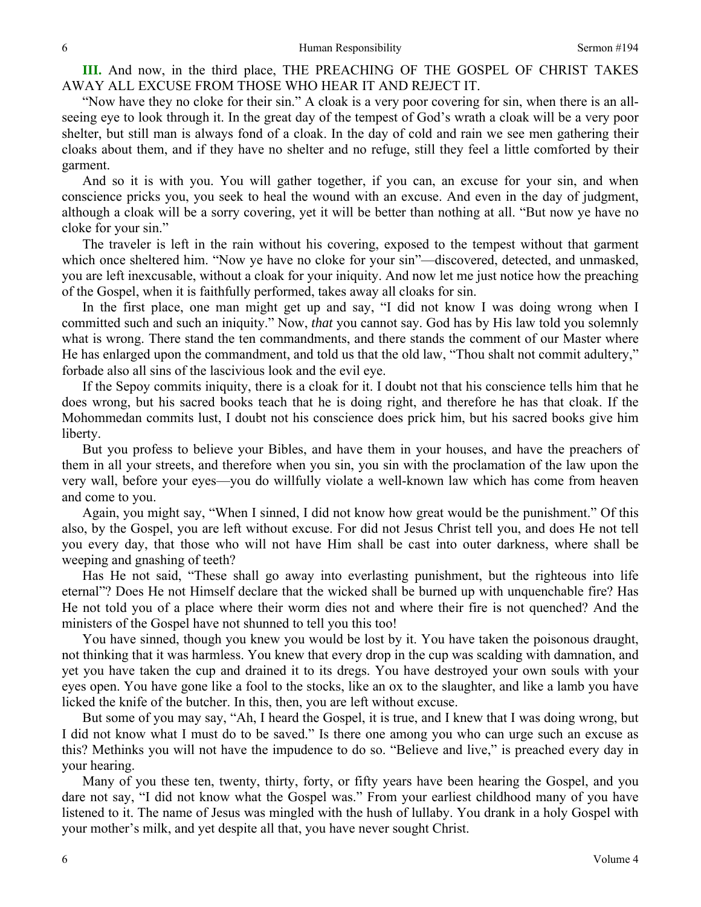**III.** And now, in the third place, THE PREACHING OF THE GOSPEL OF CHRIST TAKES AWAY ALL EXCUSE FROM THOSE WHO HEAR IT AND REJECT IT.

"Now have they no cloke for their sin." A cloak is a very poor covering for sin, when there is an allseeing eye to look through it. In the great day of the tempest of God's wrath a cloak will be a very poor shelter, but still man is always fond of a cloak. In the day of cold and rain we see men gathering their cloaks about them, and if they have no shelter and no refuge, still they feel a little comforted by their garment.

And so it is with you. You will gather together, if you can, an excuse for your sin, and when conscience pricks you, you seek to heal the wound with an excuse. And even in the day of judgment, although a cloak will be a sorry covering, yet it will be better than nothing at all. "But now ye have no cloke for your sin."

The traveler is left in the rain without his covering, exposed to the tempest without that garment which once sheltered him. "Now ye have no cloke for your sin"—discovered, detected, and unmasked, you are left inexcusable, without a cloak for your iniquity. And now let me just notice how the preaching of the Gospel, when it is faithfully performed, takes away all cloaks for sin.

In the first place, one man might get up and say, "I did not know I was doing wrong when I committed such and such an iniquity." Now, *that* you cannot say. God has by His law told you solemnly what is wrong. There stand the ten commandments, and there stands the comment of our Master where He has enlarged upon the commandment, and told us that the old law, "Thou shalt not commit adultery," forbade also all sins of the lascivious look and the evil eye.

If the Sepoy commits iniquity, there is a cloak for it. I doubt not that his conscience tells him that he does wrong, but his sacred books teach that he is doing right, and therefore he has that cloak. If the Mohommedan commits lust, I doubt not his conscience does prick him, but his sacred books give him liberty.

But you profess to believe your Bibles, and have them in your houses, and have the preachers of them in all your streets, and therefore when you sin, you sin with the proclamation of the law upon the very wall, before your eyes—you do willfully violate a well-known law which has come from heaven and come to you.

Again, you might say, "When I sinned, I did not know how great would be the punishment." Of this also, by the Gospel, you are left without excuse. For did not Jesus Christ tell you, and does He not tell you every day, that those who will not have Him shall be cast into outer darkness, where shall be weeping and gnashing of teeth?

Has He not said, "These shall go away into everlasting punishment, but the righteous into life eternal"? Does He not Himself declare that the wicked shall be burned up with unquenchable fire? Has He not told you of a place where their worm dies not and where their fire is not quenched? And the ministers of the Gospel have not shunned to tell you this too!

You have sinned, though you knew you would be lost by it. You have taken the poisonous draught, not thinking that it was harmless. You knew that every drop in the cup was scalding with damnation, and yet you have taken the cup and drained it to its dregs. You have destroyed your own souls with your eyes open. You have gone like a fool to the stocks, like an ox to the slaughter, and like a lamb you have licked the knife of the butcher. In this, then, you are left without excuse.

But some of you may say, "Ah, I heard the Gospel, it is true, and I knew that I was doing wrong, but I did not know what I must do to be saved." Is there one among you who can urge such an excuse as this? Methinks you will not have the impudence to do so. "Believe and live," is preached every day in your hearing.

Many of you these ten, twenty, thirty, forty, or fifty years have been hearing the Gospel, and you dare not say, "I did not know what the Gospel was." From your earliest childhood many of you have listened to it. The name of Jesus was mingled with the hush of lullaby. You drank in a holy Gospel with your mother's milk, and yet despite all that, you have never sought Christ.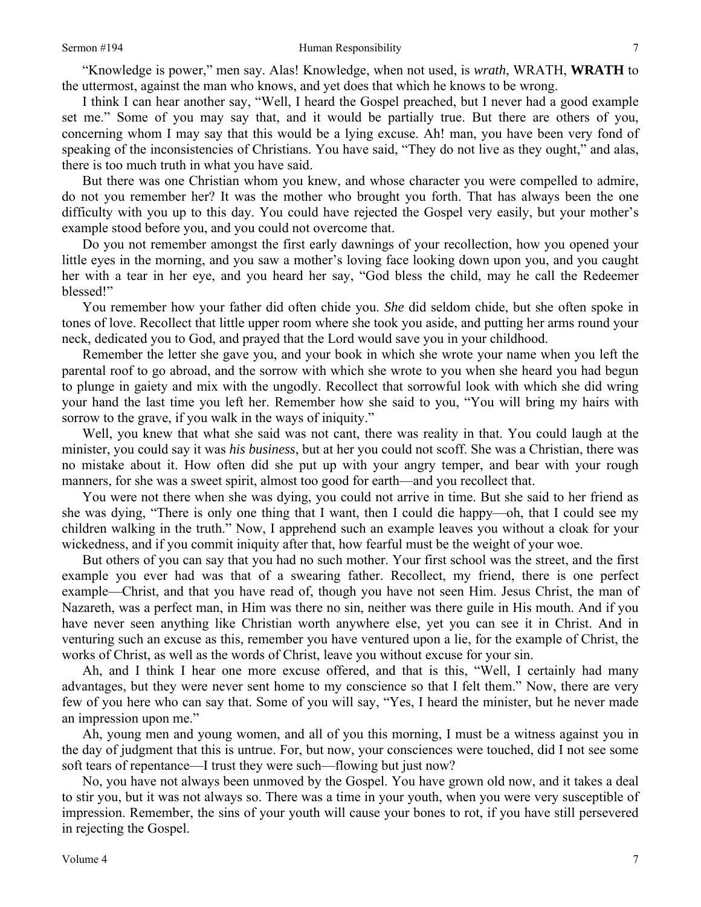"Knowledge is power," men say. Alas! Knowledge, when not used, is *wrath*, WRATH, **WRATH** to the uttermost, against the man who knows, and yet does that which he knows to be wrong.

I think I can hear another say, "Well, I heard the Gospel preached, but I never had a good example set me." Some of you may say that, and it would be partially true. But there are others of you, concerning whom I may say that this would be a lying excuse. Ah! man, you have been very fond of speaking of the inconsistencies of Christians. You have said, "They do not live as they ought," and alas, there is too much truth in what you have said.

But there was one Christian whom you knew, and whose character you were compelled to admire, do not you remember her? It was the mother who brought you forth. That has always been the one difficulty with you up to this day. You could have rejected the Gospel very easily, but your mother's example stood before you, and you could not overcome that.

Do you not remember amongst the first early dawnings of your recollection, how you opened your little eyes in the morning, and you saw a mother's loving face looking down upon you, and you caught her with a tear in her eye, and you heard her say, "God bless the child, may he call the Redeemer blessed!"

You remember how your father did often chide you. *She* did seldom chide, but she often spoke in tones of love. Recollect that little upper room where she took you aside, and putting her arms round your neck, dedicated you to God, and prayed that the Lord would save you in your childhood.

Remember the letter she gave you, and your book in which she wrote your name when you left the parental roof to go abroad, and the sorrow with which she wrote to you when she heard you had begun to plunge in gaiety and mix with the ungodly. Recollect that sorrowful look with which she did wring your hand the last time you left her. Remember how she said to you, "You will bring my hairs with sorrow to the grave, if you walk in the ways of iniquity."

Well, you knew that what she said was not cant, there was reality in that. You could laugh at the minister, you could say it was *his business*, but at her you could not scoff. She was a Christian, there was no mistake about it. How often did she put up with your angry temper, and bear with your rough manners, for she was a sweet spirit, almost too good for earth—and you recollect that.

You were not there when she was dying, you could not arrive in time. But she said to her friend as she was dying, "There is only one thing that I want, then I could die happy—oh, that I could see my children walking in the truth." Now, I apprehend such an example leaves you without a cloak for your wickedness, and if you commit iniquity after that, how fearful must be the weight of your woe.

But others of you can say that you had no such mother. Your first school was the street, and the first example you ever had was that of a swearing father. Recollect, my friend, there is one perfect example—Christ, and that you have read of, though you have not seen Him. Jesus Christ, the man of Nazareth, was a perfect man, in Him was there no sin, neither was there guile in His mouth. And if you have never seen anything like Christian worth anywhere else, yet you can see it in Christ. And in venturing such an excuse as this, remember you have ventured upon a lie, for the example of Christ, the works of Christ, as well as the words of Christ, leave you without excuse for your sin.

Ah, and I think I hear one more excuse offered, and that is this, "Well, I certainly had many advantages, but they were never sent home to my conscience so that I felt them." Now, there are very few of you here who can say that. Some of you will say, "Yes, I heard the minister, but he never made an impression upon me."

Ah, young men and young women, and all of you this morning, I must be a witness against you in the day of judgment that this is untrue. For, but now, your consciences were touched, did I not see some soft tears of repentance—I trust they were such—flowing but just now?

No, you have not always been unmoved by the Gospel. You have grown old now, and it takes a deal to stir you, but it was not always so. There was a time in your youth, when you were very susceptible of impression. Remember, the sins of your youth will cause your bones to rot, if you have still persevered in rejecting the Gospel.

7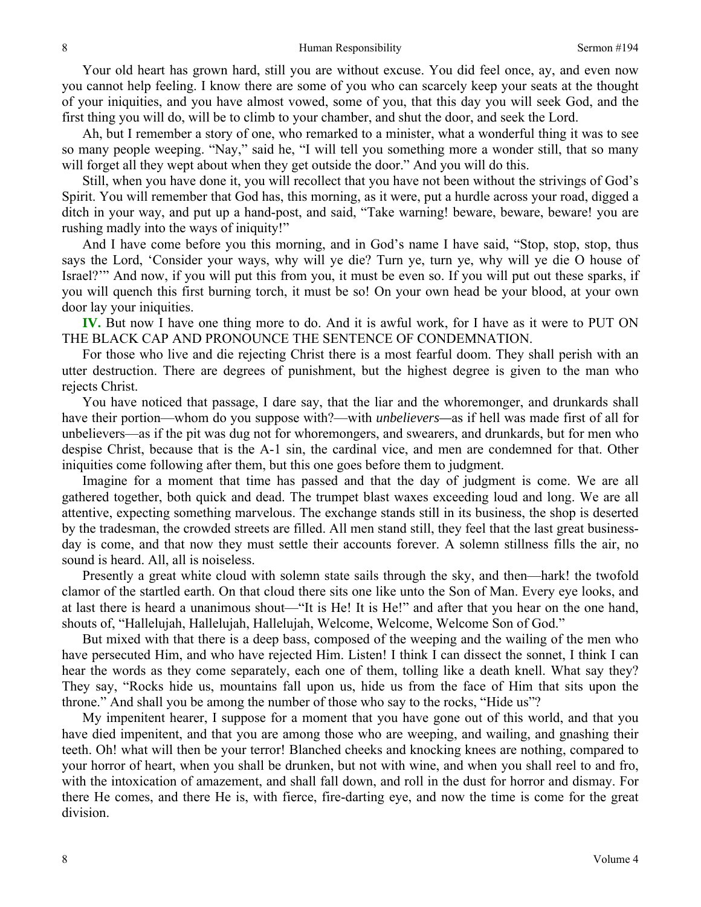Your old heart has grown hard, still you are without excuse. You did feel once, ay, and even now you cannot help feeling. I know there are some of you who can scarcely keep your seats at the thought of your iniquities, and you have almost vowed, some of you, that this day you will seek God, and the first thing you will do, will be to climb to your chamber, and shut the door, and seek the Lord.

Ah, but I remember a story of one, who remarked to a minister, what a wonderful thing it was to see so many people weeping. "Nay," said he, "I will tell you something more a wonder still, that so many will forget all they wept about when they get outside the door." And you will do this.

Still, when you have done it, you will recollect that you have not been without the strivings of God's Spirit. You will remember that God has, this morning, as it were, put a hurdle across your road, digged a ditch in your way, and put up a hand-post, and said, "Take warning! beware, beware, beware! you are rushing madly into the ways of iniquity!"

And I have come before you this morning, and in God's name I have said, "Stop, stop, stop, thus says the Lord, 'Consider your ways, why will ye die? Turn ye, turn ye, why will ye die O house of Israel?'" And now, if you will put this from you, it must be even so. If you will put out these sparks, if you will quench this first burning torch, it must be so! On your own head be your blood, at your own door lay your iniquities.

**IV.** But now I have one thing more to do. And it is awful work, for I have as it were to PUT ON THE BLACK CAP AND PRONOUNCE THE SENTENCE OF CONDEMNATION.

For those who live and die rejecting Christ there is a most fearful doom. They shall perish with an utter destruction. There are degrees of punishment, but the highest degree is given to the man who rejects Christ.

You have noticed that passage, I dare say, that the liar and the whoremonger, and drunkards shall have their portion—whom do you suppose with?—with *unbelievers—*as if hell was made first of all for unbelievers—as if the pit was dug not for whoremongers, and swearers, and drunkards, but for men who despise Christ, because that is the A-1 sin, the cardinal vice, and men are condemned for that. Other iniquities come following after them, but this one goes before them to judgment.

Imagine for a moment that time has passed and that the day of judgment is come. We are all gathered together, both quick and dead. The trumpet blast waxes exceeding loud and long. We are all attentive, expecting something marvelous. The exchange stands still in its business, the shop is deserted by the tradesman, the crowded streets are filled. All men stand still, they feel that the last great businessday is come, and that now they must settle their accounts forever. A solemn stillness fills the air, no sound is heard. All, all is noiseless.

Presently a great white cloud with solemn state sails through the sky, and then—hark! the twofold clamor of the startled earth. On that cloud there sits one like unto the Son of Man. Every eye looks, and at last there is heard a unanimous shout—"It is He! It is He!" and after that you hear on the one hand, shouts of, "Hallelujah, Hallelujah, Hallelujah, Welcome, Welcome, Welcome Son of God."

But mixed with that there is a deep bass, composed of the weeping and the wailing of the men who have persecuted Him, and who have rejected Him. Listen! I think I can dissect the sonnet, I think I can hear the words as they come separately, each one of them, tolling like a death knell. What say they? They say, "Rocks hide us, mountains fall upon us, hide us from the face of Him that sits upon the throne." And shall you be among the number of those who say to the rocks, "Hide us"?

My impenitent hearer, I suppose for a moment that you have gone out of this world, and that you have died impenitent, and that you are among those who are weeping, and wailing, and gnashing their teeth. Oh! what will then be your terror! Blanched cheeks and knocking knees are nothing, compared to your horror of heart, when you shall be drunken, but not with wine, and when you shall reel to and fro, with the intoxication of amazement, and shall fall down, and roll in the dust for horror and dismay. For there He comes, and there He is, with fierce, fire-darting eye, and now the time is come for the great division.